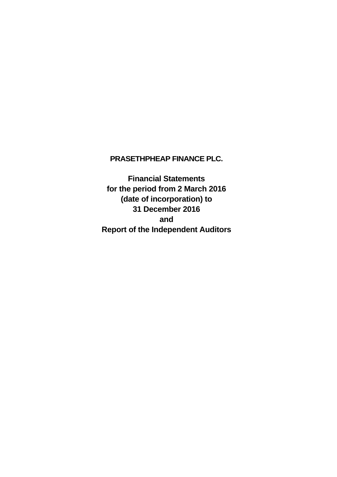#### **PRASETHPHEAP FINANCE PLC.**

**Financial Statements for the period from 2 March 2016 (date of incorporation) to 31 December 2016 and Report of the Independent Auditors**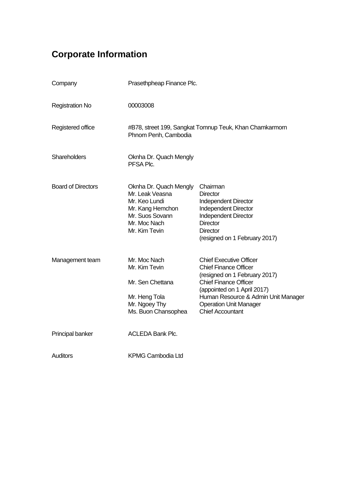# **Corporate Information**

| Company                   | Prasethpheap Finance Plc.                                                                                                          |                                                                                                                                                                                                                                                                   |
|---------------------------|------------------------------------------------------------------------------------------------------------------------------------|-------------------------------------------------------------------------------------------------------------------------------------------------------------------------------------------------------------------------------------------------------------------|
| <b>Registration No</b>    | 00003008                                                                                                                           |                                                                                                                                                                                                                                                                   |
| Registered office         | Phnom Penh, Cambodia                                                                                                               | #B78, street 199, Sangkat Tomnup Teuk, Khan Chamkarmorn                                                                                                                                                                                                           |
| Shareholders              | Oknha Dr. Quach Mengly<br>PFSA Plc.                                                                                                |                                                                                                                                                                                                                                                                   |
| <b>Board of Directors</b> | Oknha Dr. Quach Mengly<br>Mr. Leak Veasna<br>Mr. Keo Lundi<br>Mr. Kang Hemchon<br>Mr. Suos Sovann<br>Mr. Moc Nach<br>Mr. Kim Tevin | Chairman<br><b>Director</b><br><b>Independent Director</b><br><b>Independent Director</b><br>Independent Director<br><b>Director</b><br><b>Director</b><br>(resigned on 1 February 2017)                                                                          |
| Management team           | Mr. Moc Nach<br>Mr. Kim Tevin<br>Mr. Sen Chettana<br>Mr. Heng Tola<br>Mr. Ngoey Thy<br>Ms. Buon Chansophea                         | <b>Chief Executive Officer</b><br><b>Chief Finance Officer</b><br>(resigned on 1 February 2017)<br><b>Chief Finance Officer</b><br>(appointed on 1 April 2017)<br>Human Resource & Admin Unit Manager<br><b>Operation Unit Manager</b><br><b>Chief Accountant</b> |
| Principal banker          | <b>ACLEDA Bank Plc.</b>                                                                                                            |                                                                                                                                                                                                                                                                   |
| <b>Auditors</b>           | <b>KPMG Cambodia Ltd</b>                                                                                                           |                                                                                                                                                                                                                                                                   |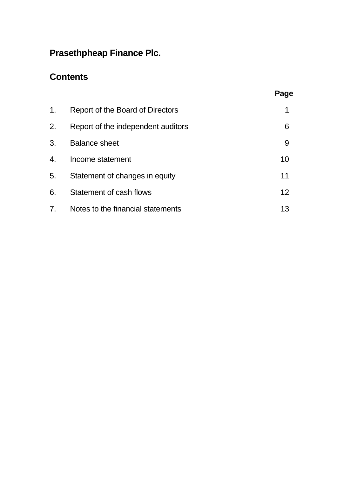# **Contents**

| 1. | Report of the Board of Directors   |    |
|----|------------------------------------|----|
| 2. | Report of the independent auditors | 6  |
| 3. | <b>Balance sheet</b>               | 9  |
| 4. | Income statement                   | 10 |
| 5. | Statement of changes in equity     | 11 |
| 6. | Statement of cash flows            | 12 |
| 7. | Notes to the financial statements  | 13 |

**Page 2018 Page 2018 Page 2018**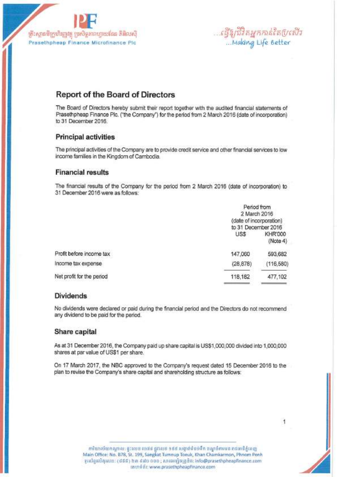

# **Report of the Board of Directors**

The Board of Directors hereby submit their report together with the audited financial statements of Prasethpheap Finance Plc. ("the Company") for the period from 2 March 2016 (date of incorporation) to 31 December 2016.

្រះថ្មីឱ្យជីវិតអ្នកកាន់តែប្រនើរ<br>Making Life Better …Making Life

#### **Principal activities**

The principal activities of the Company are to provide credit service and other financial services to low income families in the Kingdom of Cambodia.

#### **Financial results**

The financial results of the Company for the period from 2 March 2016 (date of incorporation) to 31 December 2016 were as follows:

|                           | Period from<br>2 March 2016                    |                           |
|---------------------------|------------------------------------------------|---------------------------|
|                           | (date of incorporation)<br>to 31 December 2016 |                           |
|                           | US\$                                           | <b>KHR'000</b><br>(Note4) |
| Profit before income tax  | 147,060                                        | 593,682                   |
| Income tax expense        | (28, 878)                                      | (116, 580)                |
| Net profit for the period | 118,182                                        | 477,102                   |
|                           |                                                |                           |

#### **Dividends**

No dividends were declared or paid during the financial period and the Directors do not recommend any dividend to be paid for the period.

#### Share capital

As at 31 December 2016, the Company paid up share capital is US\$1,000,000 divided into 1,000,000 shares at par value of US\$1 per share.

On 17 March 2017, the NBC approved to the Company's request dated 15 December 2016 to the plan to revise the Company's share capital and shareholding structure as follows:

ការិយាល័យកណ្តាល: ផ្ទះលេខ យល់ថ ផ្លូវលេខ ១៩៩ សង្កាត់ទំនប់ទឹក ខណ្ឌចំការមន កជធានីភ្នំពេញ Main Office: No. B78, St. 199, Sangkat Tumnup Toeuk, Khan Chamkarmon, Phnom Penh ម្មរសិព្វលើត្បូលនេះ (៨៥៥) ២៣ ៩៧០ ០០០ ; សារអេឡិចត្រូនិច: info@prasethpheapfinance.com snuné di: www.prasethpheapfinance.com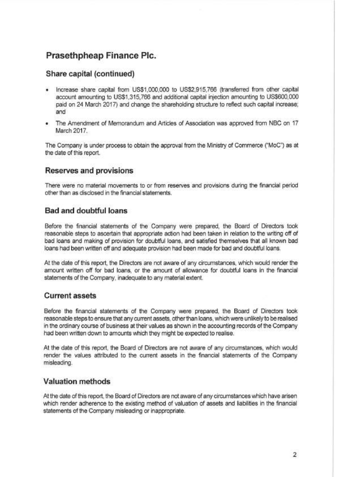### Share capital (continued)

- Increase share capital from US\$1,000,000 to US\$2,915,766 (transferred from other capital account amounting to US\$1,315,766 and additional capital injection amounting to US\$600,000 paid on 24 March 2017) and change the shareholding structure to reflect such capital increase; and
- The Amendment of Memorandum and Articles of Association was approved from NBC on 17 March 2017.

The Company is under process to obtain the approval from the Ministry of Commerce ("MoC") as at the date of this report.

#### **Reserves and provisions**

There were no material movements to or from reserves and provisions during the financial period other than as disclosed in the financial statements.

#### Bad and doubtful loans

Before the financial statements of the Company were prepared, the Board of Directors took reasonable steps to ascertain that appropriate action had been taken in relation to the writing off of bad loans and making of provision for doubtful loans, and satisfied themselves that all known bad loans had been written off and adequate provision had been made for bad and doubtful loans.

At the date of this report, the Directors are not aware of any circumstances, which would render the amount written off for bad loans, or the amount of allowance for doubtful loans in the financial statements of the Company, inadequate to any material extent.

#### **Current assets**

Before the financial statements of the Company were prepared, the Board of Directors took reasonable steps to ensure that any current assets, other than loans, which were unlikely to be realised in the ordinary course of business at their values as shown in the accounting records of the Company had been written down to amounts which they might be expected to realise.

At the date of this report, the Board of Directors are not aware of any circumstances, which would render the values attributed to the current assets in the financial statements of the Company misleading.

#### **Valuation methods**

At the date of this report, the Board of Directors are not aware of any circumstances which have arisen which render adherence to the existing method of valuation of assets and liabilities in the financial statements of the Company misleading or inappropriate.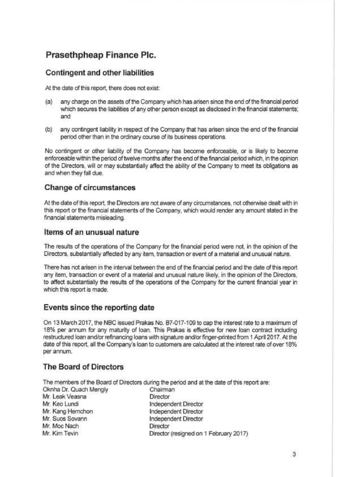#### **Contingent and other liabilities**

At the date of this report, there does not exist:

- $(a)$ any charge on the assets of the Company which has arisen since the end of the financial period which secures the liabilities of any other person except as disclosed in the financial statements; and
- $(b)$ any contingent liability in respect of the Company that has arisen since the end of the financial period other than in the ordinary course of its business operations.

No contingent or other liability of the Company has become enforceable, or is likely to become enforceable within the period of twelve months after the end of the financial period which, in the opinion of the Directors, will or may substantially affect the ability of the Company to meet its obligations as and when they fall due.

#### **Change of circumstances**

At the date of this report, the Directors are not aware of any circumstances, not otherwise dealt with in this report or the financial statements of the Company, which would render any amount stated in the financial statements misleading.

#### Items of an unusual nature

The results of the operations of the Company for the financial period were not, in the opinion of the Directors, substantially affected by any item, transaction or event of a material and unusual nature.

There has not arisen in the interval between the end of the financial period and the date of this report any item, transaction or event of a material and unusual nature likely, in the opinion of the Directors. to affect substantially the results of the operations of the Company for the current financial year in which this report is made.

#### Events since the reporting date

On 13 March 2017, the NBC issued Prakas No. B7-017-109 to cap the interest rate to a maximum of 18% per annum for any maturity of loan. This Prakas is effective for new loan contract including restructured loan and/or refinancing loans with signature and/or finger-printed from 1 April 2017. At the date of this report, all the Company's loan to customers are calculated at the interest rate of over 18% per annum.

### **The Board of Directors**

The members of the Board of Directors during the period and at the date of this report are: Oknha Dr. Quach Mengly Chairman Mr. Leak Veasna Director Mr. Keo Lundi Independent Director Mr. Kang Hemchon Independent Director Mr. Suos Sovann Independent Director Mr. Moc Nach Director Mr. Kim Tevin Director (resigned on 1 February 2017)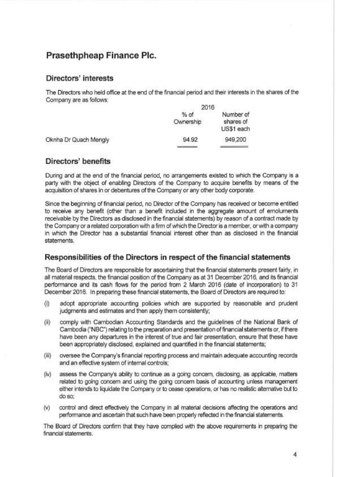#### Directors' interests

The Directors who held office at the end of the financial period and their interests in the shares of the Company are as follows:

| 2016                                |                                      |  |
|-------------------------------------|--------------------------------------|--|
| <b>LEARNER</b><br>% of<br>Ownership | Number of<br>shares of<br>US\$1 each |  |
| 94.92                               | 949,200                              |  |
|                                     |                                      |  |

### Directors' benefits

During and at the end of the financial period, no arrangements existed to which the Company is a party with the object of enabling Directors of the Company to acquire benefits by means of the acquisition of shares in or debentures of the Company or any other body corporate.

Since the beginning of financial period, no Director of the Company has received or become entitled to receive any benefit (other than a benefit included in the aggregate amount of emoluments receivable by the Directors as disclosed in the financial statements) by reason of a contract made by the Company or a related corporation with a firm of which the Director is a member, or with a company in which the Director has a substantial financial interest other than as disclosed in the financial statements.

### Responsibilities of the Directors in respect of the financial statements

The Board of Directors are responsible for ascertaining that the financial statements present fairly, in all material respects, the financial position of the Company as at 31 December 2016, and its financial performance and its cash flows for the period from 2 March 2016 (date of incorporation) to 31 December 2016. In preparing these financial statements, the Board of Directors are required to:

- $(i)$ adopt appropriate accounting policies which are supported by reasonable and prudent judgments and estimates and then apply them consistently;
- comply with Cambodian Accounting Standards and the guidelines of the National Bank of  $\langle \overline{n} \rangle$ Cambodia ("NBC") relating to the preparation and presentation of financial statements or, if there have been any departures in the interest of true and fair presentation, ensure that these have been appropriately disclosed, explained and quantified in the financial statements;
- oversee the Company's financial reporting process and maintain adequate accounting records (iii) and an effective system of internal controls;
- (M) assess the Company's ability to continue as a going concern, disclosing, as applicable, matters related to going concern and using the going concern basis of accounting unless management either intends to liquidate the Company or to cease operations, or has no realistic alternative but to do so:
- control and direct effectively the Company in all material decisions affecting the operations and (V) performance and ascertain that such have been properly reflected in the financial statements.

The Board of Directors confirm that they have complied with the above requirements in preparing the financial statements.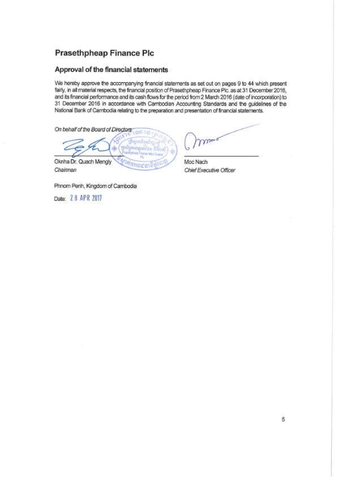#### Approval of the financial statements

We hereby approve the accompanying financial statements as set out on pages 9 to 44 which present fairly, in all material respects, the financial position of Prasethpheap Finance Plc. as at 31 December 2016, and its financial performance and its cash flows for the period from 2 March 2016 (date of incorporation) to 31 December 2016 in accordance with Cambodian Accounting Standards and the guidelines of the National Bank of Cambodia relating to the preparation and presentation of financial statements.

On behalf of the Board of Directors

Oknha Dr. Quach Mengly Chairman

 $\gamma\gamma$ <sub>m</sub>  $s$ 

Moc Nach Chief Executive Officer

Phnom Penh, Kingdom of Cambodia

Date: 28 APR 2017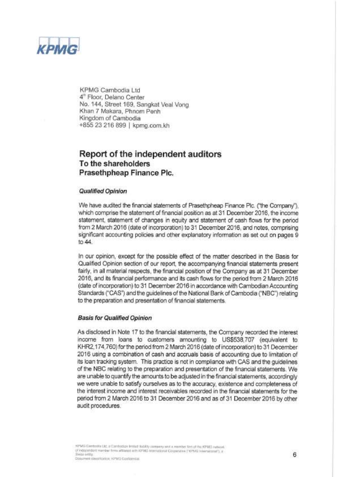

KPMG Cambodia Ltd 4<sup>th</sup> Floor, Delano Center No. 144, Street 169, Sangkat Veal Vong Khan 7 Makara, Phnom Penh Kingdom of Cambodia +855 23 216 899 | kpmg.com.kh

### Report of the independent auditors To the shareholders Prasethpheap Finance Plc.

#### **Qualified Opinion**

We have audited the financial statements of Prasethoheap Finance Plc. ("the Company"). which comprise the statement of financial position as at 31 December 2016, the income statement, statement of changes in equity and statement of cash flows for the period from 2 March 2016 (date of incorporation) to 31 December 2016, and notes, comprising significant accounting policies and other explanatory information as set out on pages 9 to 44.

In our opinion, except for the possible effect of the matter described in the Basis for Qualified Opinion section of our report, the accompanying financial statements present fairly, in all material respects, the financial position of the Company as at 31 December 2016, and its financial performance and its cash flows for the period from 2 March 2016 (date of incorporation) to 31 December 2016 in accordance with Cambodian Accounting Standards ("CAS") and the guidelines of the National Bank of Cambodia ("NBC") relating to the preparation and presentation of financial statements.

#### **Basis for Qualified Opinion**

As disclosed in Note 17 to the financial statements, the Company recorded the interest income from loans to customers amounting to US\$538,707 (equivalent to KHR2,174,760) for the period from 2 March 2016 (date of incorporation) to 31 December 2016 using a combination of cash and accruals basis of accounting due to limitation of its loan tracking system. This practice is not in compliance with CAS and the guidelines of the NBC relating to the preparation and presentation of the financial statements. We are unable to quantify the amounts to be adjusted in the financial statements, accordingly we were unable to satisfy ourselves as to the accuracy, existence and completeness of the interest income and interest receivables recorded in the financial statements for the period from 2 March 2016 to 31 December 2016 and as of 31 December 2016 by other audit procedures.

HPMG Combothi Ltd, a Cambodian Irolled Sability company and a member firm of the KPMS nutwork of independent reamber from artifaned with ATMS international Cooperative ("KPMG Internacional"), a **Rwiss output** Document classification: HPMG Confidential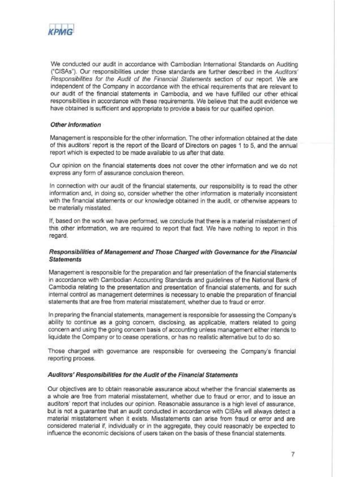

We conducted our audit in accordance with Cambodian International Standards on Auditing ("CISAs"). Our responsibilities under those standards are further described in the Auditors' Responsibilities for the Audit of the Financial Statements section of our report. We are independent of the Company in accordance with the ethical requirements that are relevant to our audit of the financial statements in Cambodia, and we have fulfilled our other ethical responsibilities in accordance with these requirements. We believe that the audit evidence we have obtained is sufficient and appropriate to provide a basis for our qualified opinion.

#### Other Information

Management is responsible for the other information. The other information obtained at the date of this auditors' report is the report of the Board of Directors on pages 1 to 5, and the annual report which is expected to be made available to us after that date.

Our opinion on the financial statements does not cover the other information and we do not express any form of assurance conclusion thereon.

In connection with our audit of the financial statements, our responsibility is to read the other information and, in doing so, consider whether the other information is materially inconsistent with the financial statements or our knowledge obtained in the audit, or otherwise appears to be materially misstated.

If, based on the work we have performed, we conclude that there is a material misstatement of this other information, we are required to report that fact. We have nothing to report in this regard.

#### Responsibilities of Management and Those Charged with Governance for the Financial **Statements**

Management is responsible for the preparation and fair presentation of the financial statements in accordance with Cambodian Accounting Standards and guidelines of the National Bank of Cambodia relating to the presentation and presentation of financial statements, and for such internal control as management determines is necessary to enable the preparation of financial statements that are free from material misstatement, whether due to fraud or error.

In preparing the financial statements, management is responsible for assessing the Company's ability to continue as a going concern, disclosing, as applicable, matters related to going concern and using the going concern basis of accounting unless management either intends to liquidate the Company or to cease operations, or has no realistic alternative but to do so.

Those charged with governance are responsible for overseeing the Company's financial reporting process.

#### Auditors' Responsibilities for the Audit of the Financial Statements

Our objectives are to obtain reasonable assurance about whether the financial statements as a whole are free from material misstatement, whether due to fraud or error, and to issue an auditors' report that includes our opinion. Reasonable assurance is a high level of assurance. but is not a guarantee that an audit conducted in accordance with CISAs will always detect a material misstatement when it exists. Misstatements can arise from fraud or error and are considered material if, individually or in the aggregate, they could reasonably be expected to influence the economic decisions of users taken on the basis of these financial statements.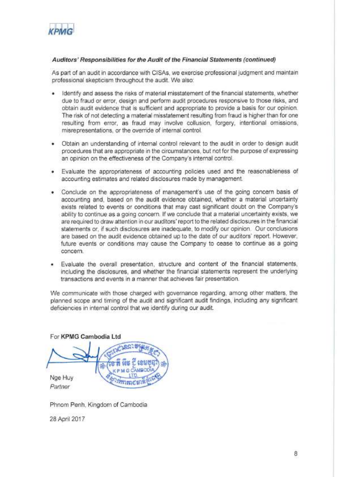

#### Auditors' Responsibilities for the Audit of the Financial Statements (continued)

As part of an audit in accordance with CISAs, we exercise professional judgment and maintain professional skepticism throughout the audit. We also:

- Identify and assess the risks of material misstatement of the financial statements, whether due to fraud or error, design and perform audit procedures responsive to those risks, and obtain audit evidence that is sufficient and appropriate to provide a basis for our opinion. The risk of not detecting a material misstatement resulting from fraud is higher than for one resulting from error, as fraud may involve collusion, forgery, intentional omissions, misrepresentations, or the override of internal control.
- Obtain an understanding of internal control relevant to the audit in order to design audit  $\cdot$ procedures that are appropriate in the circumstances, but not for the purpose of expressing an opinion on the effectiveness of the Company's internal control.
- . Evaluate the appropriateness of accounting policies used and the reasonableness of accounting estimates and related disclosures made by management.
- Conclude on the appropriateness of management's use of the going concern basis of accounting and, based on the audit evidence obtained, whether a material uncertainty exists related to events or conditions that may cast significant doubt on the Company's ability to continue as a going concern. If we conclude that a material uncertainty exists, we are required to draw attention in our auditors' report to the related disclosures in the financial statements or, if such disclosures are inadequate, to modify our opinion. Our conclusions are based on the audit evidence obtained up to the date of our auditors' report. However, future events or conditions may cause the Company to cease to continue as a going concern.
- Evaluate the overall presentation, structure and content of the financial statements,  $\bullet$ including the disclosures, and whether the financial statements represent the underlying transactions and events in a manner that achieves fair presentation.

We communicate with those charged with governance regarding, among other matters, the planned scope and timing of the audit and significant audit findings, including any significant deficiencies in internal control that we identify during our audit.



Phnom Penh, Kingdom of Cambodia

28 April 2017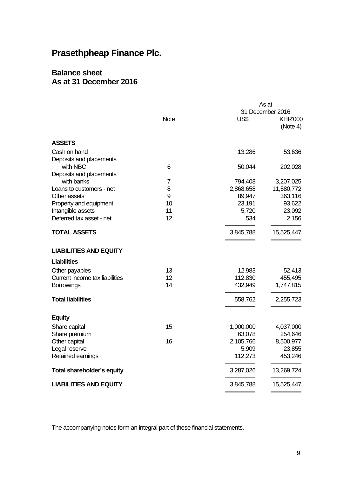### **Balance sheet As at 31 December 2016**

|                                | As at       |                  |                |
|--------------------------------|-------------|------------------|----------------|
|                                |             | 31 December 2016 |                |
|                                | <b>Note</b> | US\$             | <b>KHR'000</b> |
|                                |             |                  | (Note 4)       |
| <b>ASSETS</b>                  |             |                  |                |
| Cash on hand                   |             | 13,286           | 53,636         |
| Deposits and placements        |             |                  |                |
| with NBC                       | 6           | 50,044           | 202,028        |
| Deposits and placements        |             |                  |                |
| with banks                     | 7           | 794,408          | 3,207,025      |
| Loans to customers - net       | 8           | 2,868,658        | 11,580,772     |
| Other assets                   | 9           | 89,947           | 363,116        |
| Property and equipment         | 10          | 23,191           | 93,622         |
| Intangible assets              | 11          | 5,720            | 23,092         |
| Deferred tax asset - net       | 12          | 534              | 2,156          |
| <b>TOTAL ASSETS</b>            |             | 3,845,788        | 15,525,447     |
| <b>LIABILITIES AND EQUITY</b>  |             |                  |                |
| <b>Liabilities</b>             |             |                  |                |
| Other payables                 | 13          | 12,983           | 52,413         |
| Current income tax liabilities | 12          | 112,830          | 455,495        |
| <b>Borrowings</b>              | 14          | 432,949          | 1,747,815      |
| <b>Total liabilities</b>       |             | 558,762          | 2,255,723      |
| <b>Equity</b>                  |             |                  |                |
|                                |             |                  |                |
| Share capital                  | 15          | 1,000,000        | 4,037,000      |
| Share premium                  |             | 63,078           | 254,646        |
| Other capital                  | 16          | 2,105,766        | 8,500,977      |
| Legal reserve                  |             | 5,909            | 23,855         |
| Retained earnings              |             | 112,273          | 453,246        |
| Total shareholder's equity     |             | 3,287,026        | 13,269,724     |
| <b>LIABILITIES AND EQUITY</b>  |             | 3,845,788        | 15,525,447     |

The accompanying notes form an integral part of these financial statements.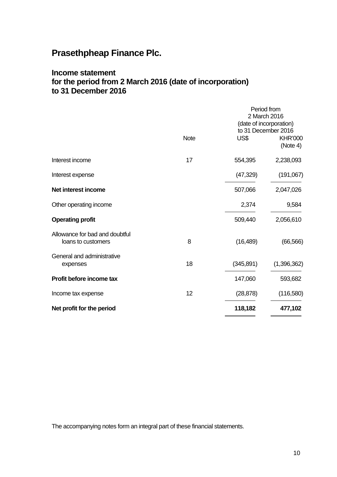### **Income statement for the period from 2 March 2016 (date of incorporation) to 31 December 2016**

|                                                      |             | Period from<br>2 March 2016 |                            |  |
|------------------------------------------------------|-------------|-----------------------------|----------------------------|--|
|                                                      |             | to 31 December 2016         | (date of incorporation)    |  |
|                                                      | <b>Note</b> | US\$                        | <b>KHR'000</b><br>(Note 4) |  |
| Interest income                                      | 17          | 554,395                     | 2,238,093                  |  |
| Interest expense                                     |             | (47, 329)                   | (191,067)                  |  |
| Net interest income                                  |             | 507,066                     | 2,047,026                  |  |
| Other operating income                               |             | 2,374                       | 9,584                      |  |
| <b>Operating profit</b>                              |             | 509,440                     | 2,056,610                  |  |
| Allowance for bad and doubtful<br>loans to customers | 8           | (16, 489)                   | (66, 566)                  |  |
| General and administrative<br>expenses               | 18          | (345, 891)                  | (1,396,362)                |  |
| Profit before income tax                             |             | 147,060                     | 593,682                    |  |
| Income tax expense                                   | 12          | (28, 878)                   | (116,580)                  |  |
| Net profit for the period                            |             | 118,182                     | 477,102                    |  |

The accompanying notes form an integral part of these financial statements.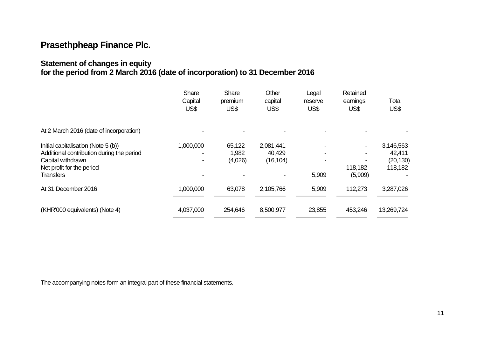## **Statement of changes in equity for the period from 2 March 2016 (date of incorporation) to 31 December 2016**

|                                                                                                                                                        | Share<br>Capital<br>US\$ | Share<br>premium<br>US\$   | Other<br>capital<br>US\$         | Legal<br>reserve<br>US\$          | Retained<br>earnings<br>US\$ | Total<br>US\$                               |
|--------------------------------------------------------------------------------------------------------------------------------------------------------|--------------------------|----------------------------|----------------------------------|-----------------------------------|------------------------------|---------------------------------------------|
| At 2 March 2016 (date of incorporation)                                                                                                                |                          |                            |                                  |                                   |                              |                                             |
| Initial capitalisation (Note 5 (b))<br>Additional contribution during the period<br>Capital withdrawn<br>Net profit for the period<br><b>Transfers</b> | 1,000,000                | 65,122<br>1,982<br>(4,026) | 2,081,441<br>40,429<br>(16, 104) | $\overline{\phantom{a}}$<br>5,909 | 118,182<br>(5,909)           | 3,146,563<br>42,411<br>(20, 130)<br>118,182 |
| At 31 December 2016                                                                                                                                    | 1,000,000                | 63,078                     | 2,105,766                        | 5,909                             | 112,273                      | 3,287,026                                   |
| (KHR'000 equivalents) (Note 4)                                                                                                                         | 4,037,000                | 254,646                    | 8,500,977                        | 23,855                            | 453,246                      | 13,269,724                                  |

The accompanying notes form an integral part of these financial statements.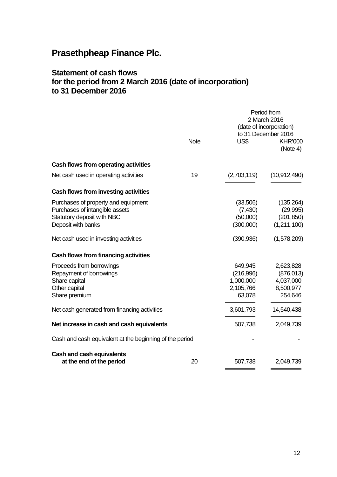### **Statement of cash flows for the period from 2 March 2016 (date of incorporation) to 31 December 2016**

|                                                                                                                           | <b>Note</b> | Period from<br>2 March 2016<br>(date of incorporation)<br>to 31 December 2016<br>US\$<br><b>KHR'000</b><br>(Note 4) |                                                              |  |
|---------------------------------------------------------------------------------------------------------------------------|-------------|---------------------------------------------------------------------------------------------------------------------|--------------------------------------------------------------|--|
| Cash flows from operating activities                                                                                      |             |                                                                                                                     |                                                              |  |
| Net cash used in operating activities                                                                                     | 19          | (2,703,119)                                                                                                         | (10, 912, 490)                                               |  |
| Cash flows from investing activities                                                                                      |             |                                                                                                                     |                                                              |  |
| Purchases of property and equipment<br>Purchases of intangible assets<br>Statutory deposit with NBC<br>Deposit with banks |             | (33,506)<br>(7, 430)<br>(50,000)<br>(300,000)                                                                       | (135, 264)<br>(29, 995)<br>(201, 850)<br>(1,211,100)         |  |
| Net cash used in investing activities                                                                                     |             | (390, 936)                                                                                                          | (1,578,209)                                                  |  |
| Cash flows from financing activities                                                                                      |             |                                                                                                                     |                                                              |  |
| Proceeds from borrowings<br>Repayment of borrowings<br>Share capital<br>Other capital<br>Share premium                    |             | 649,945<br>(216,996)<br>1,000,000<br>2,105,766<br>63,078                                                            | 2,623,828<br>(876, 013)<br>4,037,000<br>8,500,977<br>254,646 |  |
| Net cash generated from financing activities                                                                              |             | 3,601,793                                                                                                           | 14,540,438                                                   |  |
| Net increase in cash and cash equivalents                                                                                 |             | 507,738                                                                                                             | 2,049,739                                                    |  |
| Cash and cash equivalent at the beginning of the period                                                                   |             |                                                                                                                     |                                                              |  |
| Cash and cash equivalents<br>at the end of the period                                                                     | 20          | 507,738                                                                                                             | 2,049,739                                                    |  |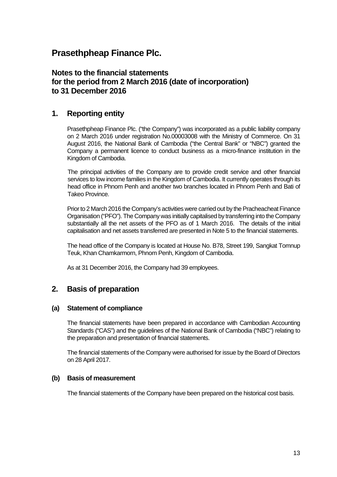### **Notes to the financial statements for the period from 2 March 2016 (date of incorporation) to 31 December 2016**

### **1. Reporting entity**

Prasethpheap Finance Plc. ("the Company") was incorporated as a public liability company on 2 March 2016 under registration No.00003008 with the Ministry of Commerce. On 31 August 2016, the National Bank of Cambodia ("the Central Bank" or "NBC") granted the Company a permanent licence to conduct business as a micro-finance institution in the Kingdom of Cambodia.

 The principal activities of the Company are to provide credit service and other financial services to low income families in the Kingdom of Cambodia. It currently operates through its head office in Phnom Penh and another two branches located in Phnom Penh and Bati of Takeo Province.

Prior to 2 March 2016 the Company's activities were carried out by the Pracheacheat Finance Organisation ("PFO"). The Company was initially capitalised by transferring into the Company substantially all the net assets of the PFO as of 1 March 2016. The details of the initial capitalisation and net assets transferred are presented in Note 5 to the financial statements.

The head office of the Company is located at House No. B78, Street 199, Sangkat Tomnup Teuk, Khan Chamkarmorn, Phnom Penh, Kingdom of Cambodia.

As at 31 December 2016, the Company had 39 employees.

### **2. Basis of preparation**

#### **(a) Statement of compliance**

The financial statements have been prepared in accordance with Cambodian Accounting Standards ("CAS") and the guidelines of the National Bank of Cambodia ("NBC") relating to the preparation and presentation of financial statements.

The financial statements of the Company were authorised for issue by the Board of Directors on 28 April 2017.

#### **(b) Basis of measurement**

The financial statements of the Company have been prepared on the historical cost basis.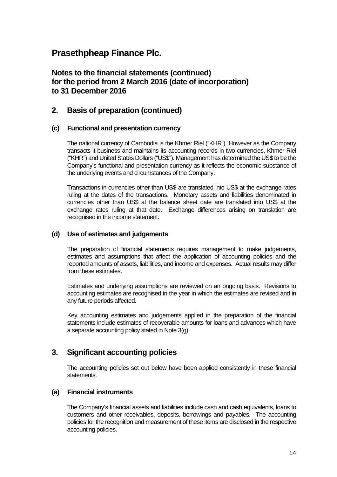### **Notes to the financial statements (continued) for the period from 2 March 2016 (date of incorporation) to 31 December 2016**

#### **2. Basis of preparation (continued)**

#### **(c) Functional and presentation currency**

The national currency of Cambodia is the Khmer Riel ("KHR"). However as the Company transacts it business and maintains its accounting records in two currencies, Khmer Riel ("KHR") and United States Dollars ("US\$"). Management has determined the US\$ to be the Company's functional and presentation currency as it reflects the economic substance of the underlying events and circumstances of the Company.

Transactions in currencies other than US\$ are translated into US\$ at the exchange rates ruling at the dates of the transactions. Monetary assets and liabilities denominated in currencies other than US\$ at the balance sheet date are translated into US\$ at the exchange rates ruling at that date. Exchange differences arising on translation are recognised in the income statement.

#### **(d) Use of estimates and judgements**

The preparation of financial statements requires management to make judgements, estimates and assumptions that affect the application of accounting policies and the reported amounts of assets, liabilities, and income and expenses. Actual results may differ from these estimates.

Estimates and underlying assumptions are reviewed on an ongoing basis. Revisions to accounting estimates are recognised in the year in which the estimates are revised and in any future periods affected.

Key accounting estimates and judgements applied in the preparation of the financial statements include estimates of recoverable amounts for loans and advances which have a separate accounting policy stated in Note 3(g).

### **3. Significant accounting policies**

The accounting policies set out below have been applied consistently in these financial statements.

#### **(a) Financial instruments**

The Company's financial assets and liabilities include cash and cash equivalents, loans to customers and other receivables, deposits, borrowings and payables. The accounting policies for the recognition and measurement of these items are disclosed in the respective accounting policies.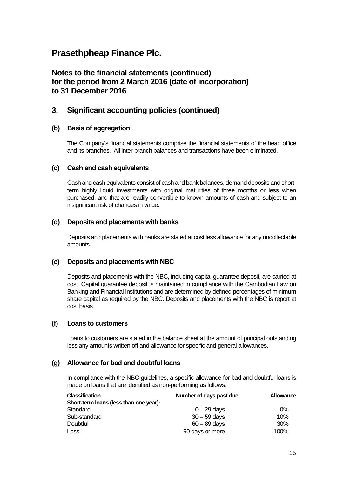### **Notes to the financial statements (continued) for the period from 2 March 2016 (date of incorporation) to 31 December 2016**

### **3. Significant accounting policies (continued)**

#### **(b) Basis of aggregation**

The Company's financial statements comprise the financial statements of the head office and its branches. All inter-branch balances and transactions have been eliminated.

#### **(c) Cash and cash equivalents**

Cash and cash equivalents consist of cash and bank balances, demand deposits and shortterm highly liquid investments with original maturities of three months or less when purchased, and that are readily convertible to known amounts of cash and subject to an insignificant risk of changes in value.

#### **(d) Deposits and placements with banks**

Deposits and placements with banks are stated at cost less allowance for any uncollectable amounts.

#### **(e) Deposits and placements with NBC**

Deposits and placements with the NBC, including capital guarantee deposit, are carried at cost. Capital guarantee deposit is maintained in compliance with the Cambodian Law on Banking and Financial Institutions and are determined by defined percentages of minimum share capital as required by the NBC. Deposits and placements with the NBC is report at cost basis.

#### **(f) Loans to customers**

Loans to customers are stated in the balance sheet at the amount of principal outstanding less any amounts written off and allowance for specific and general allowances.

#### **(g) Allowance for bad and doubtful loans**

In compliance with the NBC guidelines, a specific allowance for bad and doubtful loans is made on loans that are identified as non-performing as follows:

| <b>Classification</b>                  | Number of days past due | Allowance |
|----------------------------------------|-------------------------|-----------|
| Short-term loans (less than one year): |                         |           |
| Standard                               | $0 - 29$ days           | $0\%$     |
| Sub-standard                           | $30 - 59$ days          | 10%       |
| <b>Doubtful</b>                        | $60 - 89$ days          | 30%       |
| Loss                                   | 90 days or more         | 100%      |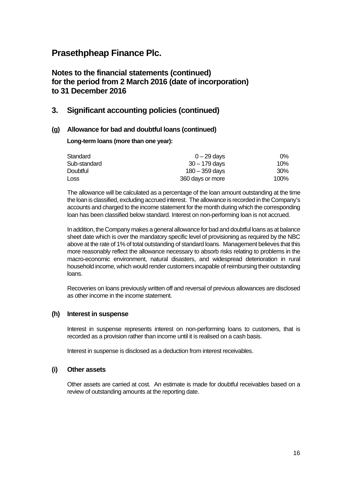### **Notes to the financial statements (continued) for the period from 2 March 2016 (date of incorporation) to 31 December 2016**

### **3. Significant accounting policies (continued)**

#### **(g) Allowance for bad and doubtful loans (continued)**

 **Long-term loans (more than one year):** 

| Standard        | $0 - 29$ days    | 0%   |
|-----------------|------------------|------|
| Sub-standard    | 30 – 179 days    | 10%  |
| <b>Doubtful</b> | $180 - 359$ days | 30%  |
| Loss            | 360 days or more | 100% |

The allowance will be calculated as a percentage of the loan amount outstanding at the time the loan is classified, excluding accrued interest. The allowance is recorded in the Company's accounts and charged to the income statement for the month during which the corresponding loan has been classified below standard. Interest on non-performing loan is not accrued.

In addition, the Company makes a general allowance for bad and doubtful loans as at balance sheet date which is over the mandatory specific level of provisioning as required by the NBC above at the rate of 1% of total outstanding of standard loans. Management believes that this more reasonably reflect the allowance necessary to absorb risks relating to problems in the macro-economic environment, natural disasters, and widespread deterioration in rural household income, which would render customers incapable of reimbursing their outstanding loans.

Recoveries on loans previously written off and reversal of previous allowances are disclosed as other income in the income statement.

#### **(h) Interest in suspense**

Interest in suspense represents interest on non-performing loans to customers, that is recorded as a provision rather than income until it is realised on a cash basis.

Interest in suspense is disclosed as a deduction from interest receivables.

#### **(i) Other assets**

Other assets are carried at cost. An estimate is made for doubtful receivables based on a review of outstanding amounts at the reporting date.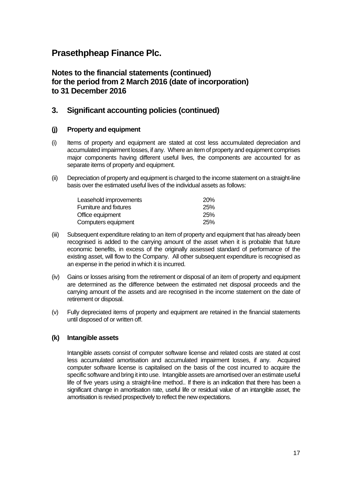### **Notes to the financial statements (continued) for the period from 2 March 2016 (date of incorporation) to 31 December 2016**

### **3. Significant accounting policies (continued)**

#### **(j) Property and equipment**

- (i) Items of property and equipment are stated at cost less accumulated depreciation and accumulated impairment losses, if any. Where an item of property and equipment comprises major components having different useful lives, the components are accounted for as separate items of property and equipment.
- (ii) Depreciation of property and equipment is charged to the income statement on a straight-line basis over the estimated useful lives of the individual assets as follows:

| Leasehold improvements | <b>20%</b> |
|------------------------|------------|
| Furniture and fixtures | 25%        |
| Office equipment       | <b>25%</b> |
| Computers equipment    | 25%        |

- (iii) Subsequent expenditure relating to an item of property and equipment that has already been recognised is added to the carrying amount of the asset when it is probable that future economic benefits, in excess of the originally assessed standard of performance of the existing asset, will flow to the Company. All other subsequent expenditure is recognised as an expense in the period in which it is incurred.
- (iv) Gains or losses arising from the retirement or disposal of an item of property and equipment are determined as the difference between the estimated net disposal proceeds and the carrying amount of the assets and are recognised in the income statement on the date of retirement or disposal.
- (v) Fully depreciated items of property and equipment are retained in the financial statements until disposed of or written off.

#### **(k) Intangible assets**

Intangible assets consist of computer software license and related costs are stated at cost less accumulated amortisation and accumulated impairment losses, if any. Acquired computer software license is capitalised on the basis of the cost incurred to acquire the specific software and bring it into use. Intangible assets are amortised over an estimate useful life of five years using a straight-line method.. If there is an indication that there has been a significant change in amortisation rate, useful life or residual value of an intangible asset, the amortisation is revised prospectively to reflect the new expectations.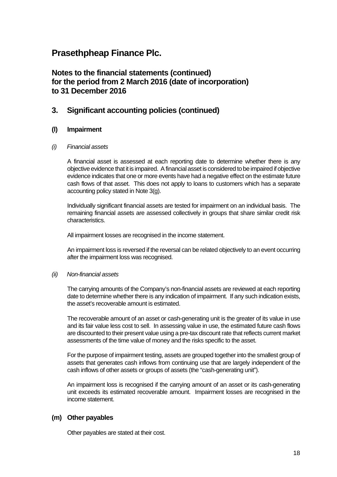### **Notes to the financial statements (continued) for the period from 2 March 2016 (date of incorporation) to 31 December 2016**

### **3. Significant accounting policies (continued)**

#### **(l) Impairment**

#### (i) Financial assets

A financial asset is assessed at each reporting date to determine whether there is any objective evidence that it is impaired. A financial asset is considered to be impaired if objective evidence indicates that one or more events have had a negative effect on the estimate future cash flows of that asset. This does not apply to loans to customers which has a separate accounting policy stated in Note 3(g).

Individually significant financial assets are tested for impairment on an individual basis. The remaining financial assets are assessed collectively in groups that share similar credit risk characteristics.

All impairment losses are recognised in the income statement.

An impairment loss is reversed if the reversal can be related objectively to an event occurring after the impairment loss was recognised.

#### (ii) Non-financial assets

The carrying amounts of the Company's non-financial assets are reviewed at each reporting date to determine whether there is any indication of impairment. If any such indication exists, the asset's recoverable amount is estimated.

The recoverable amount of an asset or cash-generating unit is the greater of its value in use and its fair value less cost to sell. In assessing value in use, the estimated future cash flows are discounted to their present value using a pre-tax discount rate that reflects current market assessments of the time value of money and the risks specific to the asset.

For the purpose of impairment testing, assets are grouped together into the smallest group of assets that generates cash inflows from continuing use that are largely independent of the cash inflows of other assets or groups of assets (the "cash-generating unit").

An impairment loss is recognised if the carrying amount of an asset or its cash-generating unit exceeds its estimated recoverable amount. Impairment losses are recognised in the income statement.

#### **(m) Other payables**

Other payables are stated at their cost.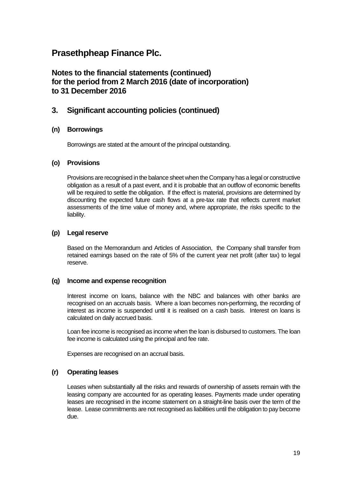### **Notes to the financial statements (continued) for the period from 2 March 2016 (date of incorporation) to 31 December 2016**

### **3. Significant accounting policies (continued)**

#### **(n) Borrowings**

Borrowings are stated at the amount of the principal outstanding.

#### **(o) Provisions**

Provisions are recognised in the balance sheet when the Company has a legal or constructive obligation as a result of a past event, and it is probable that an outflow of economic benefits will be required to settle the obligation. If the effect is material, provisions are determined by discounting the expected future cash flows at a pre-tax rate that reflects current market assessments of the time value of money and, where appropriate, the risks specific to the liability.

#### **(p) Legal reserve**

Based on the Memorandum and Articles of Association, the Company shall transfer from retained earnings based on the rate of 5% of the current year net profit (after tax) to legal reserve.

#### **(q) Income and expense recognition**

Interest income on loans, balance with the NBC and balances with other banks are recognised on an accruals basis. Where a loan becomes non-performing, the recording of interest as income is suspended until it is realised on a cash basis. Interest on loans is calculated on daily accrued basis.

Loan fee income is recognised as income when the loan is disbursed to customers. The loan fee income is calculated using the principal and fee rate.

Expenses are recognised on an accrual basis.

#### **(r) Operating leases**

Leases when substantially all the risks and rewards of ownership of assets remain with the leasing company are accounted for as operating leases. Payments made under operating leases are recognised in the income statement on a straight-line basis over the term of the lease. Lease commitments are not recognised as liabilities until the obligation to pay become due.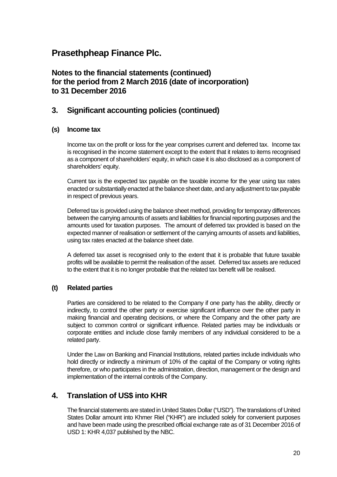### **Notes to the financial statements (continued) for the period from 2 March 2016 (date of incorporation) to 31 December 2016**

### **3. Significant accounting policies (continued)**

#### **(s) Income tax**

Income tax on the profit or loss for the year comprises current and deferred tax. Income tax is recognised in the income statement except to the extent that it relates to items recognised as a component of shareholders' equity, in which case it is also disclosed as a component of shareholders' equity.

Current tax is the expected tax payable on the taxable income for the year using tax rates enacted or substantially enacted at the balance sheet date, and any adjustment to tax payable in respect of previous years.

Deferred tax is provided using the balance sheet method, providing for temporary differences between the carrying amounts of assets and liabilities for financial reporting purposes and the amounts used for taxation purposes. The amount of deferred tax provided is based on the expected manner of realisation or settlement of the carrying amounts of assets and liabilities, using tax rates enacted at the balance sheet date.

A deferred tax asset is recognised only to the extent that it is probable that future taxable profits will be available to permit the realisation of the asset. Deferred tax assets are reduced to the extent that it is no longer probable that the related tax benefit will be realised.

#### **(t) Related parties**

Parties are considered to be related to the Company if one party has the ability, directly or indirectly, to control the other party or exercise significant influence over the other party in making financial and operating decisions, or where the Company and the other party are subject to common control or significant influence. Related parties may be individuals or corporate entities and include close family members of any individual considered to be a related party.

Under the Law on Banking and Financial Institutions, related parties include individuals who hold directly or indirectly a minimum of 10% of the capital of the Company or voting rights therefore, or who participates in the administration, direction, management or the design and implementation of the internal controls of the Company.

### **4. Translation of US\$ into KHR**

The financial statements are stated in United States Dollar ("USD"). The translations of United States Dollar amount into Khmer Riel ("KHR") are included solely for convenient purposes and have been made using the prescribed official exchange rate as of 31 December 2016 of USD 1: KHR 4,037 published by the NBC.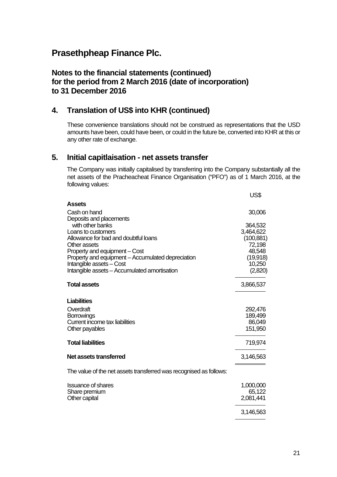### **Notes to the financial statements (continued) for the period from 2 March 2016 (date of incorporation) to 31 December 2016**

### **4. Translation of US\$ into KHR (continued)**

These convenience translations should not be construed as representations that the USD amounts have been, could have been, or could in the future be, converted into KHR at this or any other rate of exchange.

# **5. Initial capitlaisation - net assets transfer**

The Company was initially capitalised by transferring into the Company substantially all the net assets of the Pracheacheat Finance Organisation ("PFO") as of 1 March 2016, at the following values:

|                                                                    | US\$                 |
|--------------------------------------------------------------------|----------------------|
| <b>Assets</b>                                                      |                      |
| Cash on hand                                                       | 30,006               |
| Deposits and placements                                            |                      |
| with other banks                                                   | 364,532              |
| Loans to customers                                                 | 3,464,622            |
| Allowance for bad and doubtful loans<br>Other assets               | (100, 881)<br>72,198 |
| Property and equipment – Cost                                      | 48,548               |
| Property and equipment - Accumulated depreciation                  | (19, 918)            |
| Intangible assets - Cost                                           | 10,250               |
| Intangible assets - Accumulated amortisation                       | (2,820)              |
| <b>Total assets</b>                                                | 3,866,537            |
| Liabilities                                                        |                      |
| Overdraft                                                          | 292,476              |
| <b>Borrowings</b>                                                  | 189,499              |
| Current income tax liabilities                                     | 86,049               |
| Other payables                                                     | 151,950              |
| <b>Total liabilities</b>                                           | 719,974              |
| Net assets transferred                                             | 3,146,563            |
| The value of the net assets transferred was recognised as follows: |                      |
| <b>Issuance of shares</b>                                          | 1,000,000            |
| Share premium                                                      | 65,122               |
| Other capital                                                      | 2,081,441            |
|                                                                    | 3,146,563            |
|                                                                    |                      |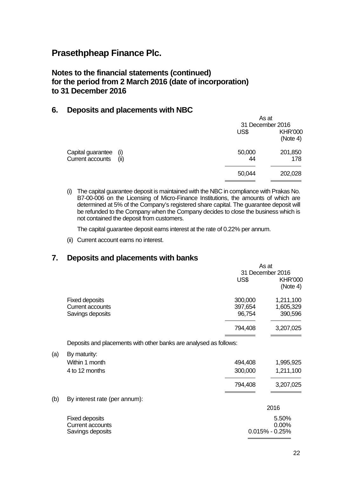### **Notes to the financial statements (continued) for the period from 2 March 2016 (date of incorporation) to 31 December 2016**

#### **6. Deposits and placements with NBC**

|                                                      | As at<br>31 December 2016 |                            |
|------------------------------------------------------|---------------------------|----------------------------|
|                                                      | US\$                      | <b>KHR'000</b><br>(Note 4) |
| Capital guarantee<br>(i)<br>Current accounts<br>(ii) | 50,000<br>44              | 201,850<br>178             |
|                                                      | 50,044                    | 202,028                    |

(i) The capital guarantee deposit is maintained with the NBC in compliance with Prakas No. B7-00-006 on the Licensing of Micro-Finance Institutions, the amounts of which are determined at 5% of the Company's registered share capital. The guarantee deposit will be refunded to the Company when the Company decides to close the business which is not contained the deposit from customers.

The capital guarantee deposit earns interest at the rate of 0.22% per annum.

(ii) Current account earns no interest.

#### **7. Deposits and placements with banks**

|     |                                                                   | As at<br>31 December 2016 |                            |
|-----|-------------------------------------------------------------------|---------------------------|----------------------------|
|     |                                                                   | US\$                      | <b>KHR'000</b><br>(Note 4) |
|     | <b>Fixed deposits</b><br><b>Current accounts</b>                  | 300,000<br>397,654        | 1,211,100<br>1,605,329     |
|     | Savings deposits                                                  | 96,754                    | 390,596                    |
|     |                                                                   | 794,408                   | 3,207,025                  |
|     | Deposits and placements with other banks are analysed as follows: |                           |                            |
| (a) | By maturity:                                                      |                           |                            |
|     | Within 1 month                                                    | 494,408                   | 1,995,925                  |
|     | 4 to 12 months                                                    | 300,000                   | 1,211,100                  |
|     |                                                                   | 794,408                   | 3,207,025                  |
| (b) | By interest rate (per annum):                                     |                           |                            |
|     |                                                                   |                           | 2016                       |
|     | <b>Fixed deposits</b><br><b>Current accounts</b>                  |                           | 5.50%<br>0.00%             |
|     | Savings deposits                                                  |                           | $0.015\% - 0.25\%$         |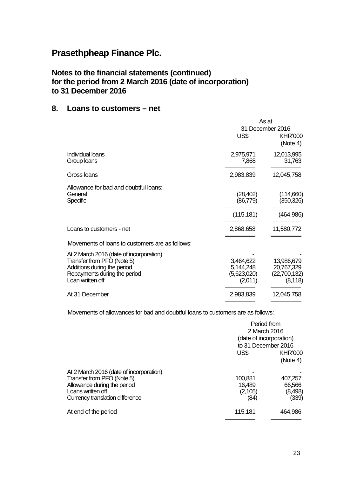### **Notes to the financial statements (continued) for the period from 2 March 2016 (date of incorporation) to 31 December 2016**

#### **8. Loans to customers – net**

|                                                  |                        | As at                      |
|--------------------------------------------------|------------------------|----------------------------|
|                                                  |                        | 31 December 2016           |
|                                                  | US\$                   | <b>KHR'000</b><br>(Note 4) |
| Individual loans                                 | 2,975,971              | 12,013,995                 |
| Group loans                                      | 7,868                  | 31,763                     |
| Gross Ioans                                      | 2,983,839              | 12,045,758                 |
| Allowance for bad and doubtful loans:            |                        |                            |
| General                                          | (28, 402)              | (114,660)                  |
| Specific                                         | (86, 779)              | (350,326)                  |
|                                                  | (115, 181)             | (464, 986)                 |
| Loans to customers - net                         | 2,868,658              | 11,580,772                 |
| Movements of loans to customers are as follows:  |                        |                            |
| At 2 March 2016 (date of incorporation)          |                        |                            |
| Transfer from PFO (Note 5)                       | 3,464,622              | 13,986,679                 |
| Additions during the period                      | 5,144,248              | 20,767,329                 |
| Repayments during the period<br>Loan written off | (5,623,020)<br>(2,011) | (22,700,132)<br>(8, 118)   |
|                                                  |                        |                            |
| At 31 December                                   | 2,983,839              | 12,045,758                 |
|                                                  |                        |                            |

Movements of allowances for bad and doubtful loans to customers are as follows:

|                                         | Period from             |                |
|-----------------------------------------|-------------------------|----------------|
|                                         | 2 March 2016            |                |
|                                         | (date of incorporation) |                |
|                                         | to 31 December 2016     |                |
|                                         | US\$                    | <b>KHR'000</b> |
|                                         |                         | (Note 4)       |
| At 2 March 2016 (date of incorporation) |                         |                |
| Transfer from PFO (Note 5)              | 100,881                 | 407,257        |
| Allowance during the period             | 16,489                  | 66,566         |
| Loans written off                       | (2, 105)                | (8, 498)       |
| Currency translation difference         | (84)                    | (339)          |
| At end of the period                    | 115,181                 | 464,986        |
|                                         |                         |                |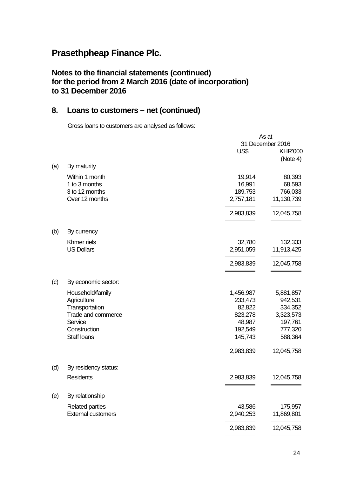### **Notes to the financial statements (continued) for the period from 2 March 2016 (date of incorporation) to 31 December 2016**

### **8. Loans to customers – net (continued)**

Gross loans to customers are analysed as follows:

|     |                           | As at     |                  |
|-----|---------------------------|-----------|------------------|
|     |                           |           | 31 December 2016 |
|     |                           | US\$      | <b>KHR'000</b>   |
|     |                           |           | (Note 4)         |
| (a) | By maturity               |           |                  |
|     | Within 1 month            | 19,914    | 80,393           |
|     | 1 to 3 months             | 16,991    | 68,593           |
|     | 3 to 12 months            | 189,753   | 766,033          |
|     | Over 12 months            | 2,757,181 | 11,130,739       |
|     |                           | 2,983,839 | 12,045,758       |
| (b) | By currency               |           |                  |
|     | Khmer riels               | 32,780    | 132,333          |
|     | <b>US Dollars</b>         | 2,951,059 | 11,913,425       |
|     |                           | 2,983,839 | 12,045,758       |
| (c) | By economic sector:       |           |                  |
|     | Household/family          | 1,456,987 | 5,881,857        |
|     | Agriculture               | 233,473   | 942,531          |
|     | Transportation            | 82,822    | 334,352          |
|     | Trade and commerce        | 823,278   | 3,323,573        |
|     | Service                   | 48,987    | 197,761          |
|     | Construction              | 192,549   | 777,320          |
|     | Staff loans               | 145,743   | 588,364          |
|     |                           | 2,983,839 | 12,045,758       |
| (d) | By residency status:      |           |                  |
|     | <b>Residents</b>          | 2,983,839 | 12,045,758       |
| (e) | By relationship           |           |                  |
|     | <b>Related parties</b>    | 43,586    | 175,957          |
|     | <b>External customers</b> | 2,940,253 | 11,869,801       |
|     |                           | 2,983,839 | 12,045,758       |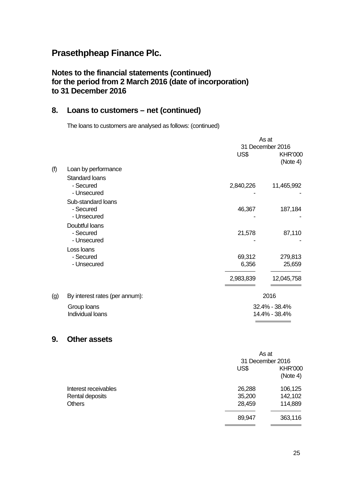### **Notes to the financial statements (continued) for the period from 2 March 2016 (date of incorporation) to 31 December 2016**

### **8. Loans to customers – net (continued)**

The loans to customers are analysed as follows: (continued)

|     |                                                   | As at<br>31 December 2016 |                                |
|-----|---------------------------------------------------|---------------------------|--------------------------------|
|     |                                                   | US\$                      | <b>KHR'000</b><br>(Note 4)     |
| (f) | Loan by performance                               |                           |                                |
|     | <b>Standard loans</b><br>- Secured<br>- Unsecured | 2,840,226                 | 11,465,992                     |
|     | Sub-standard loans<br>- Secured<br>- Unsecured    | 46,367                    | 187,184                        |
|     | Doubtful loans<br>- Secured<br>- Unsecured        | 21,578                    | 87,110                         |
|     | Loss loans<br>- Secured<br>- Unsecured            | 69,312<br>6,356           | 279,813<br>25,659              |
|     |                                                   | 2,983,839                 | 12,045,758                     |
| (g) | By interest rates (per annum):                    |                           | 2016                           |
|     | Group loans<br>Individual loans                   |                           | 32.4% - 38.4%<br>14.4% - 38.4% |

### **9. Other assets**

|                      | As at            |                            |
|----------------------|------------------|----------------------------|
|                      | 31 December 2016 |                            |
|                      | US\$             | <b>KHR'000</b><br>(Note 4) |
| Interest receivables | 26,288           | 106,125                    |
| Rental deposits      | 35,200           | 142,102                    |
| <b>Others</b>        | 28,459           | 114,889                    |
|                      | 89,947           | 363,116                    |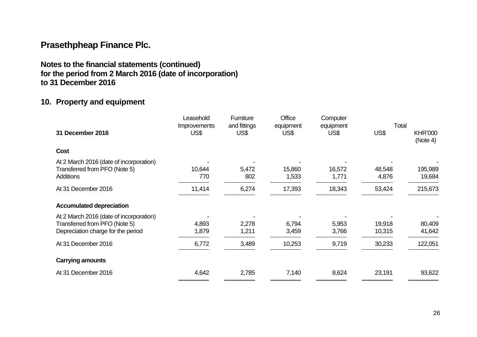## **Notes to the financial statements (continued) for the period from 2 March 2016 (date of incorporation) to 31 December 2016**

# **10. Property and equipment**

| Leasehold<br><b>Improvements</b> | Furniture<br>and fittings | Office | Computer  |           |                            |
|----------------------------------|---------------------------|--------|-----------|-----------|----------------------------|
| US\$                             | US\$                      | US\$   | US\$      | US\$      | <b>KHR'000</b><br>(Note 4) |
|                                  |                           |        |           |           |                            |
|                                  |                           |        |           |           |                            |
| 10,644                           | 5,472                     | 15,860 | 16,572    | 48,548    | 195,989                    |
| 770                              | 802                       | 1,533  | 1,771     | 4,876     | 19,684                     |
| 11,414                           | 6,274                     | 17,393 | 18,343    | 53,424    | 215,673                    |
|                                  |                           |        |           |           |                            |
|                                  |                           |        |           |           |                            |
| 4,893                            | 2,278                     | 6,794  | 5,953     | 19,918    | 80,409                     |
| 1,879                            | 1,211                     | 3,459  | 3,766     | 10,315    | 41,642                     |
| 6,772                            | 3,489                     | 10,253 | 9,719     | 30,233    | 122,051                    |
|                                  |                           |        |           |           |                            |
| 4,642                            | 2,785                     | 7,140  | 8,624     | 23,191    | 93,622                     |
|                                  |                           |        | equipment | equipment | Total                      |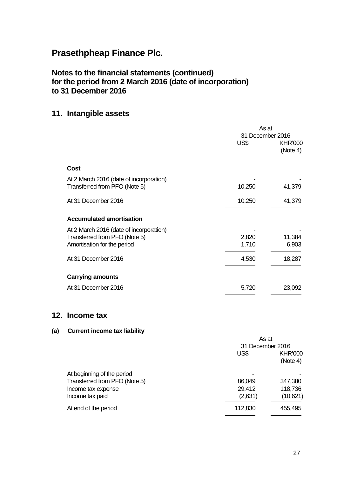### **Notes to the financial statements (continued) for the period from 2 March 2016 (date of incorporation) to 31 December 2016**

#### **11. Intangible assets**

|                                                                          | As at<br>31 December 2016 |                            |
|--------------------------------------------------------------------------|---------------------------|----------------------------|
|                                                                          | US\$                      | <b>KHR'000</b><br>(Note 4) |
| <b>Cost</b>                                                              |                           |                            |
| At 2 March 2016 (date of incorporation)<br>Transferred from PFO (Note 5) | 10,250                    | 41,379                     |
| At 31 December 2016                                                      | 10,250                    | 41,379                     |
| <b>Accumulated amortisation</b>                                          |                           |                            |
| At 2 March 2016 (date of incorporation)                                  |                           |                            |
| Transferred from PFO (Note 5)<br>Amortisation for the period             | 2,820<br>1,710            | 11,384<br>6,903            |
| At 31 December 2016                                                      | 4,530                     | 18,287                     |
| <b>Carrying amounts</b>                                                  |                           |                            |
| At 31 December 2016                                                      | 5,720                     | 23,092                     |
|                                                                          |                           |                            |

### **12. Income tax**

#### **(a) Current income tax liability**

|                               | As at            |                            |
|-------------------------------|------------------|----------------------------|
|                               | 31 December 2016 |                            |
|                               | US\$             | <b>KHR'000</b><br>(Note 4) |
| At beginning of the period    |                  |                            |
| Transferred from PFO (Note 5) | 86,049           | 347,380                    |
| Income tax expense            | 29,412           | 118,736                    |
| Income tax paid               | (2,631)          | (10,621)                   |
| At end of the period          | 112,830          | 455,495                    |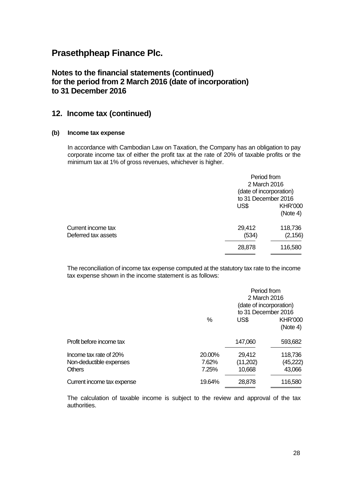### **Notes to the financial statements (continued) for the period from 2 March 2016 (date of incorporation) to 31 December 2016**

#### **12. Income tax (continued)**

#### **(b) Income tax expense**

In accordance with Cambodian Law on Taxation, the Company has an obligation to pay corporate income tax of either the profit tax at the rate of 20% of taxable profits or the minimum tax at 1% of gross revenues, whichever is higher.

|                                           | Period from<br>2 March 2016<br>(date of incorporation)<br>to 31 December 2016 |                            |
|-------------------------------------------|-------------------------------------------------------------------------------|----------------------------|
|                                           | US\$                                                                          | <b>KHR'000</b><br>(Note 4) |
| Current income tax<br>Deferred tax assets | 29,412<br>(534)                                                               | 118,736<br>(2, 156)        |
|                                           | 28,878                                                                        | 116,580                    |

The reconciliation of income tax expense computed at the statutory tax rate to the income tax expense shown in the income statement is as follows:

|                            |        | Period from<br>2 March 2016<br>(date of incorporation)<br>to 31 December 2016 |                            |
|----------------------------|--------|-------------------------------------------------------------------------------|----------------------------|
|                            | $\%$   | US\$                                                                          | <b>KHR'000</b><br>(Note 4) |
| Profit before income tax   |        | 147,060                                                                       | 593,682                    |
| Income tax rate of 20%     | 20.00% | 29,412                                                                        | 118,736                    |
| Non-deductible expenses    | 7.62%  | (11,202)                                                                      | (45, 222)                  |
| <b>Others</b>              | 7.25%  | 10,668                                                                        | 43,066                     |
| Current income tax expense | 19.64% | 28,878                                                                        | 116,580                    |

The calculation of taxable income is subject to the review and approval of the tax authorities.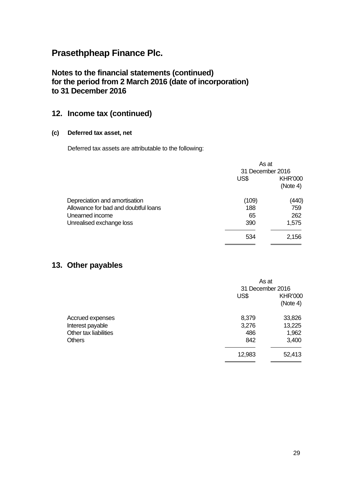### **Notes to the financial statements (continued) for the period from 2 March 2016 (date of incorporation) to 31 December 2016**

#### **12. Income tax (continued)**

#### **(c) Deferred tax asset, net**

Deferred tax assets are attributable to the following:

|                                      | As at            |                            |
|--------------------------------------|------------------|----------------------------|
|                                      | 31 December 2016 |                            |
|                                      | US\$             | <b>KHR'000</b><br>(Note 4) |
| Depreciation and amortisation        | (109)            | (440)                      |
| Allowance for bad and doubtful loans | 188              | 759                        |
| Unearned income                      | 65               | 262                        |
| Unrealised exchange loss             | 390              | 1,575                      |
|                                      | 534              | 2,156                      |
|                                      |                  |                            |

### **13. Other payables**

|                                           | As at<br>31 December 2016 |                            |
|-------------------------------------------|---------------------------|----------------------------|
|                                           | US\$                      | <b>KHR'000</b><br>(Note 4) |
| Accrued expenses                          | 8,379                     | 33,826                     |
| Interest payable<br>Other tax liabilities | 3,276<br>486              | 13,225<br>1,962            |
| <b>Others</b>                             | 842                       | 3,400                      |
|                                           | 12,983                    | 52,413                     |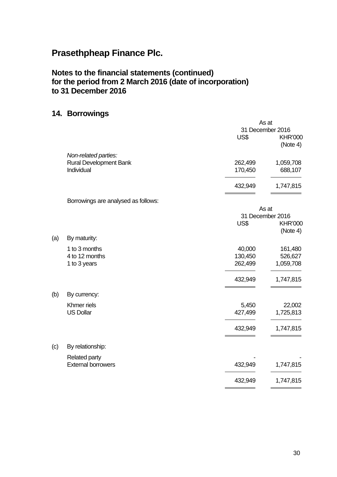### **Notes to the financial statements (continued) for the period from 2 March 2016 (date of incorporation) to 31 December 2016**

### **14. Borrowings**

|     |                                     | As at            |                            |
|-----|-------------------------------------|------------------|----------------------------|
|     |                                     | 31 December 2016 |                            |
|     |                                     | US\$             | <b>KHR'000</b>             |
|     |                                     |                  | (Note 4)                   |
|     | Non-related parties:                |                  |                            |
|     | <b>Rural Development Bank</b>       | 262,499          | 1,059,708                  |
|     | Individual                          | 170,450          | 688,107                    |
|     |                                     | 432,949          | 1,747,815                  |
|     |                                     |                  |                            |
|     | Borrowings are analysed as follows: |                  |                            |
|     |                                     |                  | As at                      |
|     |                                     |                  | 31 December 2016           |
|     |                                     | US\$             | <b>KHR'000</b><br>(Note 4) |
| (a) | By maturity:                        |                  |                            |
|     | 1 to 3 months                       | 40,000           | 161,480                    |
|     | 4 to 12 months                      | 130,450          | 526,627                    |
|     | 1 to 3 years                        | 262,499          | 1,059,708                  |
|     |                                     |                  |                            |
|     |                                     | 432,949          | 1,747,815                  |
| (b) | By currency:                        |                  |                            |
|     | Khmer riels                         | 5,450            | 22,002                     |
|     | <b>US Dollar</b>                    | 427,499          | 1,725,813                  |
|     |                                     |                  |                            |
|     |                                     | 432,949          | 1,747,815                  |
| (c) | By relationship:                    |                  |                            |
|     | Related party                       |                  |                            |
|     | <b>External borrowers</b>           | 432,949          | 1,747,815                  |
|     |                                     | 432,949          | 1,747,815                  |
|     |                                     |                  |                            |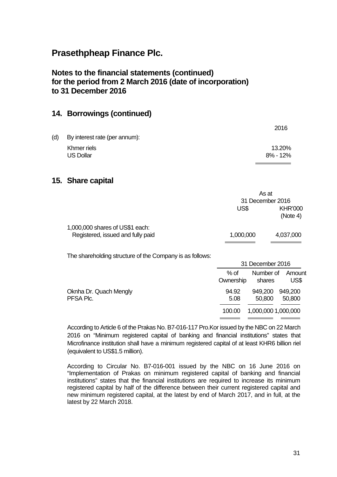### **Notes to the financial statements (continued) for the period from 2 March 2016 (date of incorporation) to 31 December 2016**

#### **14. Borrowings (continued)**

|     |                               | 2016        |
|-----|-------------------------------|-------------|
| (d) | By interest rate (per annum): |             |
|     | Khmer riels                   | 13.20%      |
|     | <b>US Dollar</b>              | $8\%$ - 12% |

#### **15. Share capital**

|                                                                      | As at            |                            |
|----------------------------------------------------------------------|------------------|----------------------------|
|                                                                      | 31 December 2016 |                            |
|                                                                      | US\$             | <b>KHR'000</b><br>(Note 4) |
| 1,000,000 shares of US\$1 each:<br>Registered, issued and fully paid | 1,000,000        | 4,037,000                  |

The shareholding structure of the Company is as follows:

|                                     |                   | 31 December 2016    |                   |
|-------------------------------------|-------------------|---------------------|-------------------|
|                                     | % of<br>Ownership | Number of<br>shares | Amount<br>US\$    |
| Oknha Dr. Quach Mengly<br>PFSA Plc. | 94.92<br>5.08     | 949,200<br>50,800   | 949,200<br>50,800 |
|                                     | 100.00            | 1,000,000 1,000,000 |                   |
|                                     |                   |                     |                   |

According to Article 6 of the Prakas No. B7-016-117 Pro.Kor issued by the NBC on 22 March 2016 on "Minimum registered capital of banking and financial institutions" states that Microfinance institution shall have a minimum registered capital of at least KHR6 billion riel (equivalent to US\$1.5 million).

According to Circular No. B7-016-001 issued by the NBC on 16 June 2016 on "Implementation of Prakas on minimum registered capital of banking and financial institutions" states that the financial institutions are required to increase its minimum registered capital by half of the difference between their current registered capital and new minimum registered capital, at the latest by end of March 2017, and in full, at the latest by 22 March 2018.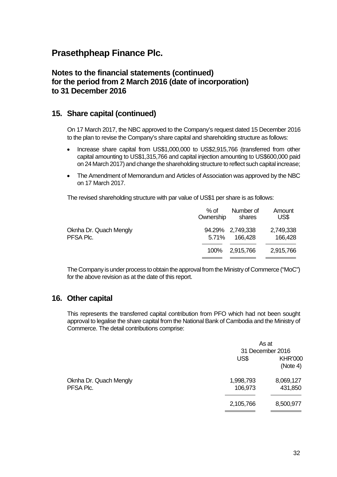### **Notes to the financial statements (continued) for the period from 2 March 2016 (date of incorporation) to 31 December 2016**

#### **15. Share capital (continued)**

On 17 March 2017, the NBC approved to the Company's request dated 15 December 2016 to the plan to revise the Company's share capital and shareholding structure as follows:

- Increase share capital from US\$1,000,000 to US\$2,915,766 (transferred from other capital amounting to US\$1,315,766 and capital injection amounting to US\$600,000 paid on 24 March 2017) and change the shareholding structure to reflect such capital increase;
- The Amendment of Memorandum and Articles of Association was approved by the NBC on 17 March 2017.

The revised shareholding structure with par value of US\$1 per share is as follows:

|                        | % of      | Number of        | Amount    |
|------------------------|-----------|------------------|-----------|
|                        | Ownership | shares           | US\$      |
| Oknha Dr. Quach Mengly | 5.71%     | 94.29% 2,749,338 | 2,749,338 |
| PFSA Plc.              |           | 166.428          | 166,428   |
|                        |           | 100% 2,915,766   | 2,915,766 |

The Company is under process to obtain the approval from the Ministry of Commerce ("MoC") for the above revision as at the date of this report.

### **16. Other capital**

This represents the transferred capital contribution from PFO which had not been sought approval to legalise the share capital from the National Bank of Cambodia and the Ministry of Commerce. The detail contributions comprise:

|                        | As at            |                            |
|------------------------|------------------|----------------------------|
|                        | 31 December 2016 |                            |
|                        | US\$             | <b>KHR'000</b><br>(Note 4) |
| Oknha Dr. Quach Mengly | 1,998,793        | 8,069,127                  |
| PFSA Plc.              | 106,973          | 431,850                    |
|                        | 2,105,766        | 8,500,977                  |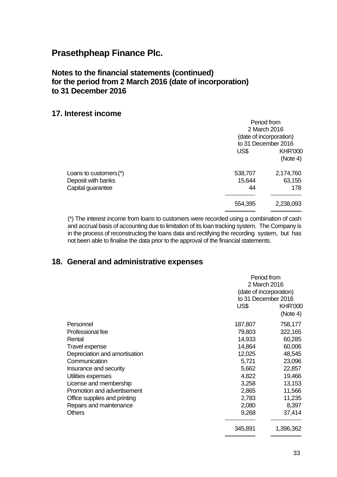### **Notes to the financial statements (continued) for the period from 2 March 2016 (date of incorporation) to 31 December 2016**

#### **17. Interest income**

|                          | Period from             |                |
|--------------------------|-------------------------|----------------|
|                          | 2 March 2016            |                |
|                          | (date of incorporation) |                |
|                          | to 31 December 2016     |                |
|                          | US\$                    | <b>KHR'000</b> |
|                          |                         | (Note 4)       |
| Loans to customers $(*)$ | 538,707                 | 2,174,760      |
| Deposit with banks       | 15,644                  | 63,155         |
| Capital guarantee        | 44                      | 178            |
|                          | 554,395                 | 2,238,093      |
|                          |                         |                |

(\*) The interest income from loans to customers were recorded using a combination of cash and accrual basis of accounting due to limitation of its loan tracking system. The Company is in the process of reconstructing the loans data and rectifying the recording system, but has not been able to finalise the data prior to the approval of the financial statements.

### **18. General and administrative expenses**

|                               |                     | Period from             |
|-------------------------------|---------------------|-------------------------|
|                               | 2 March 2016        |                         |
|                               |                     | (date of incorporation) |
|                               | to 31 December 2016 |                         |
|                               | US\$                | <b>KHR'000</b>          |
|                               |                     | (Note 4)                |
| Personnel                     | 187,807             | 758,177                 |
| Professional fee              | 79,803              | 322,165                 |
| Rental                        | 14,933              | 60,285                  |
| Travel expense                | 14,864              | 60,006                  |
| Depreciation and amortisation | 12,025              | 48,545                  |
| Communication                 | 5,721               | 23,096                  |
| Insurance and security        | 5,662               | 22,857                  |
| Utilities expenses            | 4,822               | 19,466                  |
| License and membership        | 3,258               | 13,153                  |
| Promotion and advertisement   | 2,865               | 11,566                  |
| Office supplies and printing  | 2,783               | 11,235                  |
| Repairs and maintenance       | 2,080               | 8,397                   |
| <b>Others</b>                 | 9,268               | 37,414                  |
|                               | 345,891             | 1,396,362               |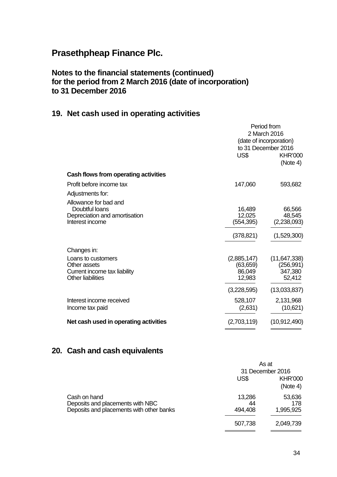### **Notes to the financial statements (continued) for the period from 2 March 2016 (date of incorporation) to 31 December 2016**

#### **19. Net cash used in operating activities**

|                                                                                                               | Period from<br>2 March 2016<br>(date of incorporation)<br>to 31 December 2016 |                                                   |
|---------------------------------------------------------------------------------------------------------------|-------------------------------------------------------------------------------|---------------------------------------------------|
|                                                                                                               | US\$                                                                          | <b>KHR'000</b><br>(Note 4)                        |
| Cash flows from operating activities                                                                          |                                                                               |                                                   |
| Profit before income tax<br>Adjustments for:                                                                  | 147,060                                                                       | 593,682                                           |
| Allowance for bad and<br>Doubtful loans<br>Depreciation and amortisation<br>Interest income                   | 16,489<br>12,025<br>(554, 395)                                                | 66,566<br>48,545<br>(2,238,093)                   |
|                                                                                                               | (378, 821)                                                                    | (1,529,300)                                       |
| Changes in:<br>Loans to customers<br>Other assets<br>Current income tax liability<br><b>Other liabilities</b> | (2,885,147)<br>(63,659)<br>86,049<br>12,983                                   | (11, 647, 338)<br>(256, 991)<br>347,380<br>52,412 |
|                                                                                                               | (3,228,595)                                                                   | (13,033,837)                                      |
| Interest income received<br>Income tax paid                                                                   | 528,107<br>(2,631)                                                            | 2,131,968<br>(10,621)                             |
| Net cash used in operating activities                                                                         | (2,703,119)                                                                   | (10, 912, 490)                                    |

### **20. Cash and cash equivalents**

|                                                                                              | As at                   |                            |
|----------------------------------------------------------------------------------------------|-------------------------|----------------------------|
|                                                                                              | 31 December 2016        |                            |
|                                                                                              | US\$                    | <b>KHR'000</b><br>(Note 4) |
| Cash on hand<br>Deposits and placements with NBC<br>Deposits and placements with other banks | 13,286<br>44<br>494,408 | 53,636<br>178<br>1,995,925 |
|                                                                                              | 507,738                 | 2,049,739                  |

 $\overline{\phantom{a}}$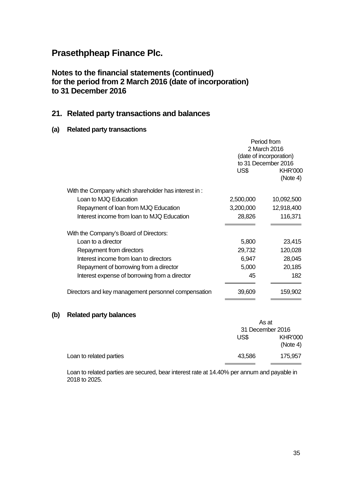### **Notes to the financial statements (continued) for the period from 2 March 2016 (date of incorporation) to 31 December 2016**

### **21. Related party transactions and balances**

#### **(a) Related party transactions**

|                                                     | Period from<br>2 March 2016<br>(date of incorporation)<br>to 31 December 2016 |                            |  |
|-----------------------------------------------------|-------------------------------------------------------------------------------|----------------------------|--|
|                                                     |                                                                               |                            |  |
|                                                     | US\$                                                                          | <b>KHR'000</b><br>(Note 4) |  |
| With the Company which shareholder has interest in: |                                                                               |                            |  |
| Loan to MJQ Education                               | 2,500,000                                                                     | 10,092,500                 |  |
| Repayment of loan from MJQ Education                | 3,200,000                                                                     | 12,918,400                 |  |
| Interest income from loan to MJQ Education          | 28,826                                                                        | 116,371                    |  |
| With the Company's Board of Directors:              |                                                                               |                            |  |
| Loan to a director                                  | 5,800                                                                         | 23,415                     |  |
| Repayment from directors                            | 29,732                                                                        | 120,028                    |  |
| Interest income from loan to directors              | 6,947                                                                         | 28,045                     |  |
| Repayment of borrowing from a director              | 5,000                                                                         | 20,185                     |  |
| Interest expense of borrowing from a director       | 45                                                                            | 182                        |  |
| Directors and key management personnel compensation | 39,609                                                                        | 159,902                    |  |

#### **(b) Related party balances**

|                         |        | As at                      |  |  |
|-------------------------|--------|----------------------------|--|--|
|                         |        | 31 December 2016           |  |  |
|                         | US\$   | <b>KHR'000</b><br>(Note 4) |  |  |
| Loan to related parties | 43,586 | 175,957                    |  |  |
|                         |        |                            |  |  |

Loan to related parties are secured, bear interest rate at 14.40% per annum and payable in 2018 to 2025.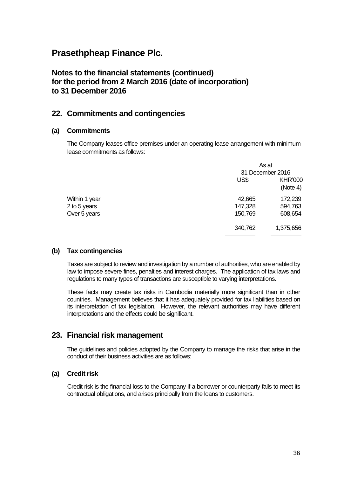### **Notes to the financial statements (continued) for the period from 2 March 2016 (date of incorporation) to 31 December 2016**

#### **22. Commitments and contingencies**

#### **(a) Commitments**

The Company leases office premises under an operating lease arrangement with minimum lease commitments as follows:

|               |         | As at<br>31 December 2016  |  |  |
|---------------|---------|----------------------------|--|--|
|               |         |                            |  |  |
|               | US\$    | <b>KHR'000</b><br>(Note 4) |  |  |
| Within 1 year | 42,665  | 172,239                    |  |  |
| 2 to 5 years  | 147,328 | 594,763                    |  |  |
| Over 5 years  | 150,769 | 608,654                    |  |  |
|               | 340,762 | 1,375,656                  |  |  |

#### **(b) Tax contingencies**

Taxes are subject to review and investigation by a number of authorities, who are enabled by law to impose severe fines, penalties and interest charges. The application of tax laws and regulations to many types of transactions are susceptible to varying interpretations.

These facts may create tax risks in Cambodia materially more significant than in other countries. Management believes that it has adequately provided for tax liabilities based on its interpretation of tax legislation. However, the relevant authorities may have different interpretations and the effects could be significant.

### **23. Financial risk management**

The guidelines and policies adopted by the Company to manage the risks that arise in the conduct of their business activities are as follows:

#### **(a) Credit risk**

Credit risk is the financial loss to the Company if a borrower or counterparty fails to meet its contractual obligations, and arises principally from the loans to customers.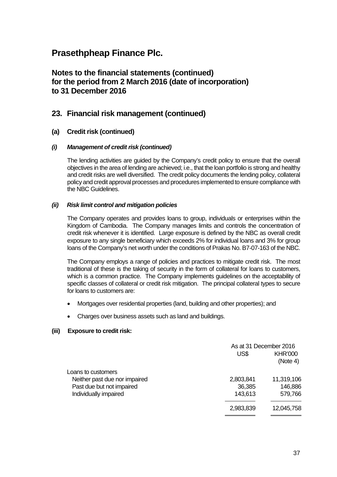### **Notes to the financial statements (continued) for the period from 2 March 2016 (date of incorporation) to 31 December 2016**

### **23. Financial risk management (continued)**

#### **(a) Credit risk (continued)**

#### **(i) Management of credit risk (continued)**

The lending activities are guided by the Company's credit policy to ensure that the overall objectives in the area of lending are achieved; i.e., that the loan portfolio is strong and healthy and credit risks are well diversified. The credit policy documents the lending policy, collateral policy and credit approval processes and procedures implemented to ensure compliance with the NBC Guidelines.

#### **(ii) Risk limit control and mitigation policies**

The Company operates and provides loans to group, individuals or enterprises within the Kingdom of Cambodia. The Company manages limits and controls the concentration of credit risk whenever it is identified. Large exposure is defined by the NBC as overall credit exposure to any single beneficiary which exceeds 2% for individual loans and 3% for group loans of the Company's net worth under the conditions of Prakas No. B7-07-163 of the NBC.

The Company employs a range of policies and practices to mitigate credit risk. The most traditional of these is the taking of security in the form of collateral for loans to customers, which is a common practice. The Company implements guidelines on the acceptability of specific classes of collateral or credit risk mitigation. The principal collateral types to secure for loans to customers are:

- Mortgages over residential properties (land, building and other properties); and
- Charges over business assets such as land and buildings.

#### **(iii) Exposure to credit risk:**

|                               | As at 31 December 2016 |                            |
|-------------------------------|------------------------|----------------------------|
|                               | US\$                   | <b>KHR'000</b><br>(Note 4) |
| Loans to customers            |                        |                            |
| Neither past due nor impaired | 2,803,841              | 11,319,106                 |
| Past due but not impaired     | 36,385                 | 146,886                    |
| Individually impaired         | 143,613                | 579,766                    |
|                               | 2,983,839              | 12,045,758                 |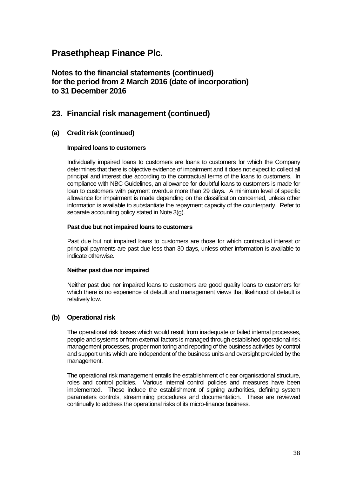### **Notes to the financial statements (continued) for the period from 2 March 2016 (date of incorporation) to 31 December 2016**

### **23. Financial risk management (continued)**

#### **(a) Credit risk (continued)**

#### **Impaired loans to customers**

Individually impaired loans to customers are loans to customers for which the Company determines that there is objective evidence of impairment and it does not expect to collect all principal and interest due according to the contractual terms of the loans to customers. In compliance with NBC Guidelines, an allowance for doubtful loans to customers is made for loan to customers with payment overdue more than 29 days. A minimum level of specific allowance for impairment is made depending on the classification concerned, unless other information is available to substantiate the repayment capacity of the counterparty. Refer to separate accounting policy stated in Note 3(g).

#### **Past due but not impaired loans to customers**

Past due but not impaired loans to customers are those for which contractual interest or principal payments are past due less than 30 days, unless other information is available to indicate otherwise.

#### **Neither past due nor impaired**

Neither past due nor impaired loans to customers are good quality loans to customers for which there is no experience of default and management views that likelihood of default is relatively low.

#### **(b) Operational risk**

The operational risk losses which would result from inadequate or failed internal processes, people and systems or from external factors is managed through established operational risk management processes, proper monitoring and reporting of the business activities by control and support units which are independent of the business units and oversight provided by the management.

The operational risk management entails the establishment of clear organisational structure, roles and control policies. Various internal control policies and measures have been implemented. These include the establishment of signing authorities, defining system parameters controls, streamlining procedures and documentation. These are reviewed continually to address the operational risks of its micro-finance business.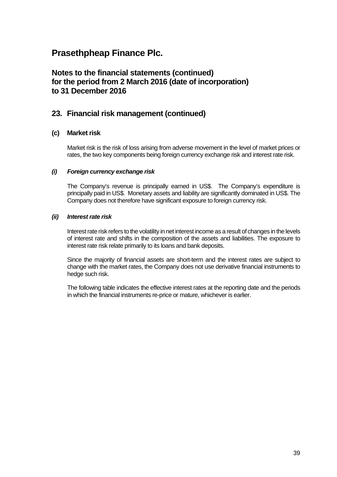### **Notes to the financial statements (continued) for the period from 2 March 2016 (date of incorporation) to 31 December 2016**

#### **23. Financial risk management (continued)**

#### **(c) Market risk**

Market risk is the risk of loss arising from adverse movement in the level of market prices or rates, the two key components being foreign currency exchange risk and interest rate risk.

#### **(i) Foreign currency exchange risk**

The Company's revenue is principally earned in US\$. The Company's expenditure is principally paid in US\$. Monetary assets and liability are significantly dominated in US\$. The Company does not therefore have significant exposure to foreign currency risk.

#### **(ii) Interest rate risk**

Interest rate risk refers to the volatility in net interest income as a result of changes in the levels of interest rate and shifts in the composition of the assets and liabilities. The exposure to interest rate risk relate primarily to its loans and bank deposits.

Since the majority of financial assets are short-term and the interest rates are subject to change with the market rates, the Company does not use derivative financial instruments to hedge such risk.

The following table indicates the effective interest rates at the reporting date and the periods in which the financial instruments re-price or mature, whichever is earlier.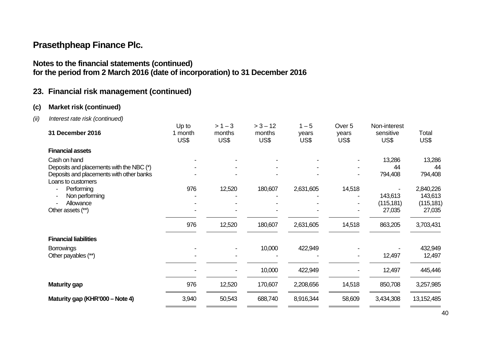### **Notes to the financial statements (continued) for the period from 2 March 2016 (date of incorporation) to 31 December 2016**

# **23. Financial risk management (continued)**

#### **(c) Market risk (continued)**

#### (ii) Interest rate risk (continued)

| (II) | <i><u>Interest rate risk (continued)</u></i>                   |                          |                             |                              |                          |                                    |                                   |               |
|------|----------------------------------------------------------------|--------------------------|-----------------------------|------------------------------|--------------------------|------------------------------------|-----------------------------------|---------------|
|      | 31 December 2016                                               | Up to<br>1 month<br>US\$ | $> 1 - 3$<br>months<br>US\$ | $> 3 - 12$<br>months<br>US\$ | $1 - 5$<br>years<br>US\$ | Over <sub>5</sub><br>years<br>US\$ | Non-interest<br>sensitive<br>US\$ | Total<br>US\$ |
|      | <b>Financial assets</b>                                        |                          |                             |                              |                          |                                    |                                   |               |
|      | Cash on hand                                                   |                          |                             |                              |                          | -                                  | 13,286                            | 13,286        |
|      | Deposits and placements with the NBC (*)                       |                          |                             |                              |                          |                                    | 44                                | 44            |
|      | Deposits and placements with other banks<br>Loans to customers |                          |                             |                              |                          |                                    | 794,408                           | 794,408       |
|      | Performing                                                     | 976                      | 12,520                      | 180,607                      | 2,631,605                | 14,518                             |                                   | 2,840,226     |
|      | Non performing                                                 |                          |                             |                              |                          |                                    | 143,613                           | 143,613       |
|      | Allowance                                                      |                          |                             |                              |                          |                                    | (115, 181)                        | (115, 181)    |
|      | Other assets (**)                                              |                          |                             |                              |                          |                                    | 27,035                            | 27,035        |
|      |                                                                | 976                      | 12,520                      | 180,607                      | 2,631,605                | 14,518                             | 863,205                           | 3,703,431     |
|      | <b>Financial liabilities</b>                                   |                          |                             |                              |                          |                                    |                                   |               |
|      | <b>Borrowings</b>                                              |                          |                             | 10,000                       | 422,949                  |                                    |                                   | 432,949       |
|      | Other payables (**)                                            |                          |                             |                              |                          |                                    | 12,497                            | 12,497        |
|      |                                                                |                          |                             | 10,000                       | 422,949                  |                                    | 12,497                            | 445,446       |
|      | <b>Maturity gap</b>                                            | 976                      | 12,520                      | 170,607                      | 2,208,656                | 14,518                             | 850,708                           | 3,257,985     |
|      | Maturity gap (KHR'000 - Note 4)                                | 3,940                    | 50,543                      | 688,740                      | 8,916,344                | 58,609                             | 3,434,308                         | 13, 152, 485  |
|      |                                                                |                          |                             |                              |                          |                                    |                                   |               |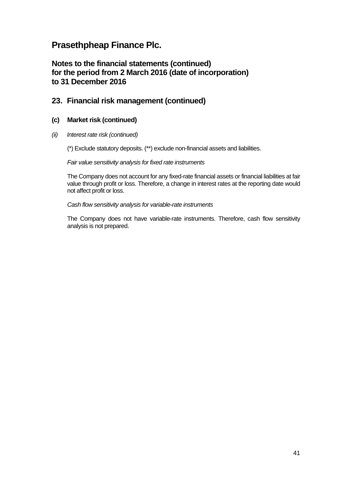### **Notes to the financial statements (continued) for the period from 2 March 2016 (date of incorporation) to 31 December 2016**

### **23. Financial risk management (continued)**

#### **(c) Market risk (continued)**

(ii) Interest rate risk (continued)

(\*) Exclude statutory deposits. (\*\*) exclude non-financial assets and liabilities.

Fair value sensitivity analysis for fixed rate instruments

The Company does not account for any fixed-rate financial assets or financial liabilities at fair value through profit or loss. Therefore, a change in interest rates at the reporting date would not affect profit or loss.

Cash flow sensitivity analysis for variable-rate instruments

The Company does not have variable-rate instruments. Therefore, cash flow sensitivity analysis is not prepared.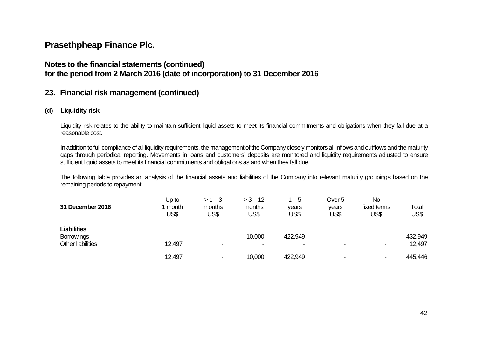### **Notes to the financial statements (continued) for the period from 2 March 2016 (date of incorporation) to 31 December 2016**

#### **23. Financial risk management (continued)**

#### **(d) Liquidity risk**

Liquidity risk relates to the ability to maintain sufficient liquid assets to meet its financial commitments and obligations when they fall due at a reasonable cost.

In addition to full compliance of all liquidity requirements, the management of the Company closely monitors all inflows and outflows and the maturity gaps through periodical reporting. Movements in loans and customers' deposits are monitored and liquidity requirements adjusted to ensure sufficient liquid assets to meet its financial commitments and obligations as and when they fall due.

The following table provides an analysis of the financial assets and liabilities of the Company into relevant maturity groupings based on the remaining periods to repayment.

| Up to<br>month<br>US\$   | $>1-3$<br>months<br>US\$ | $> 3 - 12$<br>months<br>US\$ | $-5$<br>years<br>US\$    | Over <sub>5</sub><br>vears<br>US\$ | <b>No</b><br>fixed terms<br>US\$ | Total<br>US\$ |
|--------------------------|--------------------------|------------------------------|--------------------------|------------------------------------|----------------------------------|---------------|
|                          |                          |                              |                          |                                    |                                  |               |
| $\overline{\phantom{0}}$ | $\overline{\phantom{0}}$ |                              |                          | $\overline{\phantom{0}}$           | $\overline{\phantom{0}}$         | 432,949       |
| 12,497                   | $\overline{\phantom{0}}$ | $\overline{\phantom{0}}$     | $\overline{\phantom{0}}$ | $\overline{\phantom{0}}$           | $\overline{\phantom{0}}$         | 12,497        |
| 12,497                   | $\blacksquare$           | 10,000                       | 422,949                  | $\overline{\phantom{0}}$           | $\overline{\phantom{0}}$         | 445,446       |
|                          |                          |                              | 10,000                   | 422,949                            |                                  |               |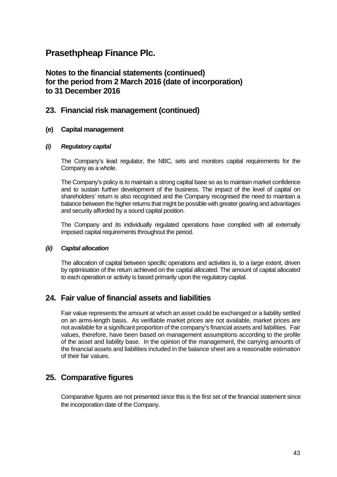### **Notes to the financial statements (continued) for the period from 2 March 2016 (date of incorporation) to 31 December 2016**

#### **23. Financial risk management (continued)**

#### **(e) Capital management**

#### **(i) Regulatory capital**

The Company's lead regulator, the NBC, sets and monitors capital requirements for the Company as a whole.

The Company's policy is to maintain a strong capital base so as to maintain market confidence and to sustain further development of the business. The impact of the level of capital on shareholders' return is also recognised and the Company recognised the need to maintain a balance between the higher returns that might be possible with greater gearing and advantages and security afforded by a sound capital position.

The Company and its individually regulated operations have complied with all externally imposed capital requirements throughout the period.

#### **(ii) Capital allocation**

The allocation of capital between specific operations and activities is, to a large extent, driven by optimisation of the return achieved on the capital allocated. The amount of capital allocated to each operation or activity is based primarily upon the regulatory capital.

#### **24. Fair value of financial assets and liabilities**

Fair value represents the amount at which an asset could be exchanged or a liability settled on an arms-length basis. As verifiable market prices are not available, market prices are not available for a significant proportion of the company's financial assets and liabilities. Fair values, therefore, have been based on management assumptions according to the profile of the asset and liability base. In the opinion of the management, the carrying amounts of the financial assets and liabilities included in the balance sheet are a reasonable estimation of their fair values.

### **25. Comparative figures**

Comparative figures are not presented since this is the first set of the financial statement since the incorporation date of the Company.